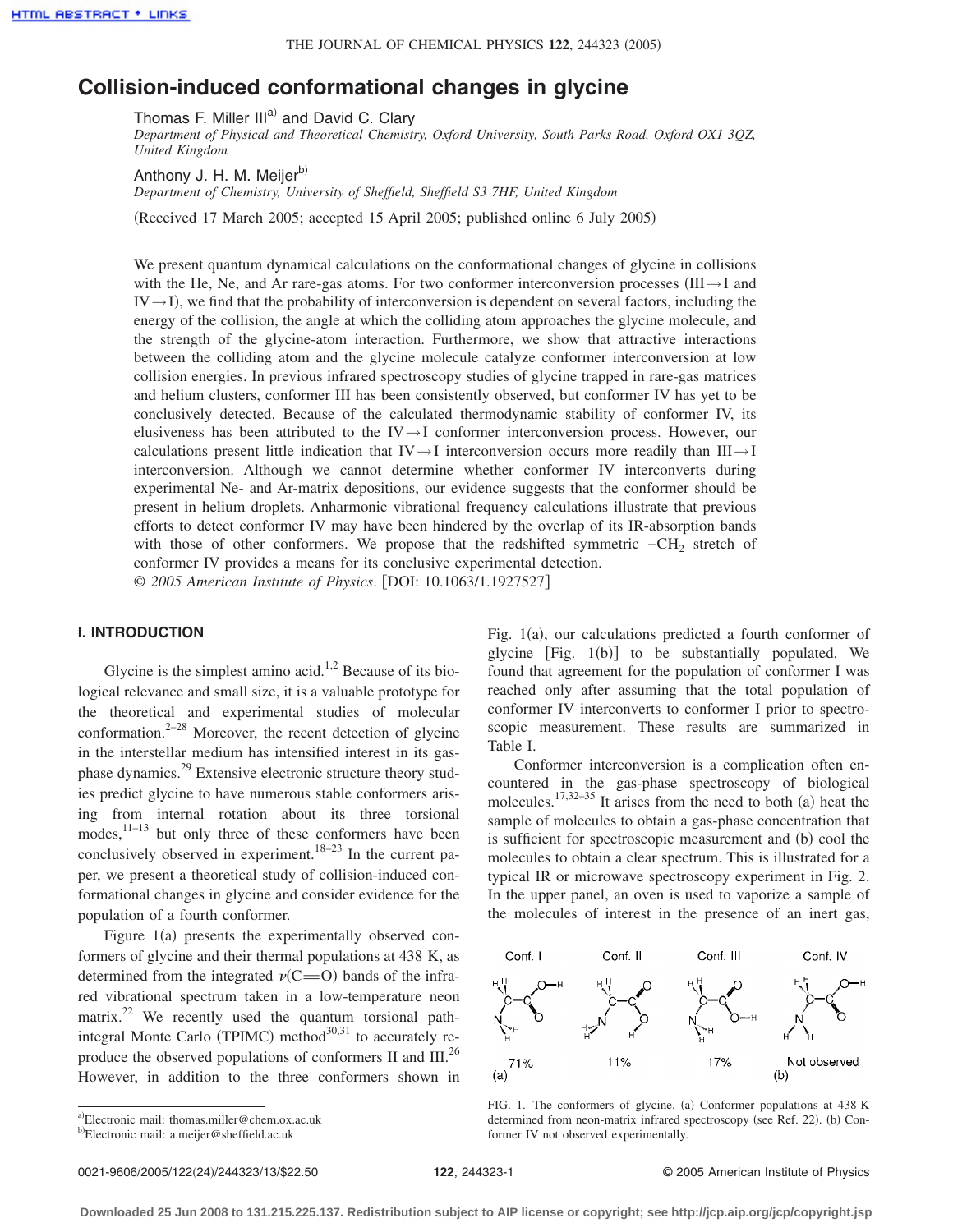# **Collision-induced conformational changes in glycine**

Thomas F. Miller III<sup>a)</sup> and David C. Clary

*Department of Physical and Theoretical Chemistry, Oxford University, South Parks Road, Oxford OX1 3QZ, United Kingdom*

Anthony J. H. M. Meijerb) *Department of Chemistry, University of Sheffield, Sheffield S3 7HF, United Kingdom* Received 17 March 2005; accepted 15 April 2005; published online 6 July 2005-

We present quantum dynamical calculations on the conformational changes of glycine in collisions with the He, Ne, and Ar rare-gas atoms. For two conformer interconversion processes  $(III \rightarrow I$  and  $IV \rightarrow I$ , we find that the probability of interconversion is dependent on several factors, including the energy of the collision, the angle at which the colliding atom approaches the glycine molecule, and the strength of the glycine-atom interaction. Furthermore, we show that attractive interactions between the colliding atom and the glycine molecule catalyze conformer interconversion at low collision energies. In previous infrared spectroscopy studies of glycine trapped in rare-gas matrices and helium clusters, conformer III has been consistently observed, but conformer IV has yet to be conclusively detected. Because of the calculated thermodynamic stability of conformer IV, its elusiveness has been attributed to the  $IV \rightarrow I$  conformer interconversion process. However, our calculations present little indication that IV $\rightarrow$ I interconversion occurs more readily than III $\rightarrow$ I interconversion. Although we cannot determine whether conformer IV interconverts during experimental Ne- and Ar-matrix depositions, our evidence suggests that the conformer should be present in helium droplets. Anharmonic vibrational frequency calculations illustrate that previous efforts to detect conformer IV may have been hindered by the overlap of its IR-absorption bands with those of other conformers. We propose that the redshifted symmetric −CH<sub>2</sub> stretch of conformer IV provides a means for its conclusive experimental detection. © *2005 American Institute of Physics*. DOI: 10.1063/1.1927527

# **I. INTRODUCTION**

Glycine is the simplest amino acid.<sup>1,2</sup> Because of its biological relevance and small size, it is a valuable prototype for the theoretical and experimental studies of molecular conformation. $2-28$  Moreover, the recent detection of glycine in the interstellar medium has intensified interest in its gasphase dynamics.29 Extensive electronic structure theory studies predict glycine to have numerous stable conformers arising from internal rotation about its three torsional modes, $1^{11-13}$  but only three of these conformers have been conclusively observed in experiment.<sup>18–23</sup> In the current paper, we present a theoretical study of collision-induced conformational changes in glycine and consider evidence for the population of a fourth conformer.

Figure  $1(a)$  presents the experimentally observed conformers of glycine and their thermal populations at 438 K, as determined from the integrated  $\nu$ (C=O) bands of the infrared vibrational spectrum taken in a low-temperature neon matrix.<sup>22</sup> We recently used the quantum torsional pathintegral Monte Carlo (TPIMC) method<sup>30,31</sup> to accurately reproduce the observed populations of conformers II and  $III$ <sup>26</sup> However, in addition to the three conformers shown in

Fig. 1(a), our calculations predicted a fourth conformer of glycine  $[Fig. 1(b)]$  to be substantially populated. We found that agreement for the population of conformer I was reached only after assuming that the total population of conformer IV interconverts to conformer I prior to spectroscopic measurement. These results are summarized in Table I.

Conformer interconversion is a complication often encountered in the gas-phase spectroscopy of biological molecules.<sup>17,32–35</sup> It arises from the need to both (a) heat the sample of molecules to obtain a gas-phase concentration that is sufficient for spectroscopic measurement and (b) cool the molecules to obtain a clear spectrum. This is illustrated for a typical IR or microwave spectroscopy experiment in Fig. 2. In the upper panel, an oven is used to vaporize a sample of the molecules of interest in the presence of an inert gas,



FIG. 1. The conformers of glycine. (a) Conformer populations at 438 K determined from neon-matrix infrared spectroscopy (see Ref. 22). (b) Conformer IV not observed experimentally.

a)Electronic mail: thomas.miller@chem.ox.ac.uk

b)Electronic mail: a.meijer@sheffield.ac.uk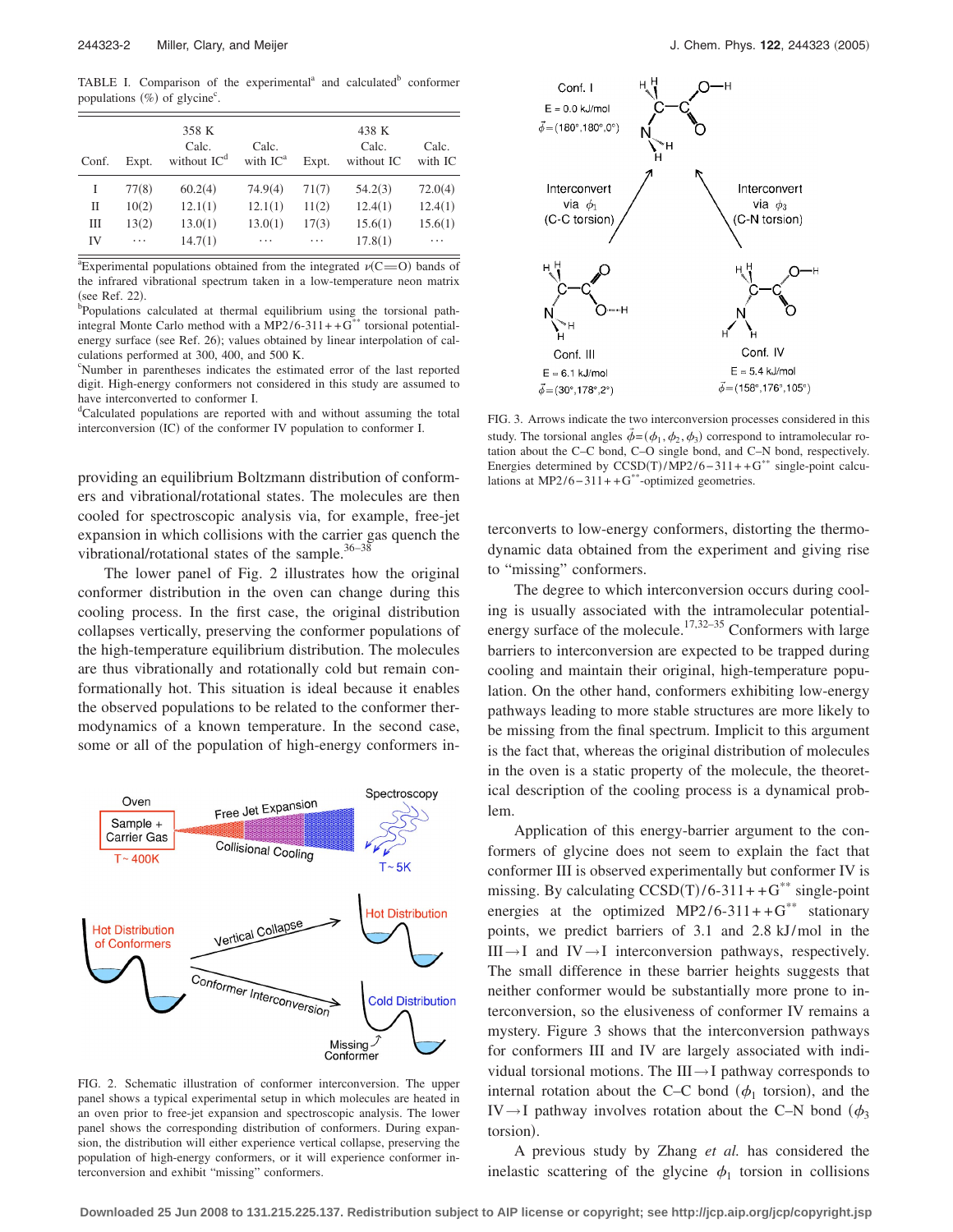TABLE I. Comparison of the experimental<sup>a</sup> and calculated<sup>b</sup> conformer populations  $(\%)$  of glycine<sup>c</sup>.

| Conf. | Expt. | 358 K<br>Calc.<br>without IC <sup>d</sup> | Calc.<br>with $IC^a$ | Expt. | 438 K<br>Calc.<br>without IC | Calc.<br>with IC |
|-------|-------|-------------------------------------------|----------------------|-------|------------------------------|------------------|
|       | 77(8) | 60.2(4)                                   | 74.9(4)              | 71(7) | 54.2(3)                      | 72.0(4)          |
| П     | 10(2) | 12.1(1)                                   | 12.1(1)              | 11(2) | 12.4(1)                      | 12.4(1)          |
| Ш     | 13(2) | 13.0(1)                                   | 13.0(1)              | 17(3) | 15.6(1)                      | 15.6(1)          |
| IV    | .     | 14.7(1)                                   | .                    | .     | 17.8(1)                      | .                |
|       |       |                                           |                      |       |                              |                  |

<sup>a</sup> Experimental populations obtained from the integrated  $\nu$ (C=O) bands of the infrared vibrational spectrum taken in a low-temperature neon matrix (see Ref. 22).

<sup>b</sup>Populations calculated at thermal equilibrium using the torsional pathintegral Monte Carlo method with a MP2/6-311++ $G^{**}$  torsional potentialenergy surface (see Ref. 26); values obtained by linear interpolation of calculations performed at 300, 400, and 500 K.

c Number in parentheses indicates the estimated error of the last reported digit. High-energy conformers not considered in this study are assumed to have interconverted to conformer I.

<sup>d</sup>Calculated populations are reported with and without assuming the total interconversion (IC) of the conformer IV population to conformer I.

providing an equilibrium Boltzmann distribution of conformers and vibrational/rotational states. The molecules are then cooled for spectroscopic analysis via, for example, free-jet expansion in which collisions with the carrier gas quench the vibrational/rotational states of the sample. $36-38$ 

The lower panel of Fig. 2 illustrates how the original conformer distribution in the oven can change during this cooling process. In the first case, the original distribution collapses vertically, preserving the conformer populations of the high-temperature equilibrium distribution. The molecules are thus vibrationally and rotationally cold but remain conformationally hot. This situation is ideal because it enables the observed populations to be related to the conformer thermodynamics of a known temperature. In the second case, some or all of the population of high-energy conformers in-



FIG. 2. Schematic illustration of conformer interconversion. The upper panel shows a typical experimental setup in which molecules are heated in an oven prior to free-jet expansion and spectroscopic analysis. The lower panel shows the corresponding distribution of conformers. During expansion, the distribution will either experience vertical collapse, preserving the population of high-energy conformers, or it will experience conformer interconversion and exhibit "missing" conformers.



FIG. 3. Arrows indicate the two interconversion processes considered in this study. The torsional angles  $\vec{\phi} = (\phi_1, \phi_2, \phi_3)$  correspond to intramolecular rotation about the C–C bond, C–O single bond, and C–N bond, respectively. Energies determined by  $CCSD(T)/MP2/6-311++G^{**}$  single-point calculations at MP2/6-311++ $G^{**}$ -optimized geometries.

terconverts to low-energy conformers, distorting the thermodynamic data obtained from the experiment and giving rise to "missing" conformers.

The degree to which interconversion occurs during cooling is usually associated with the intramolecular potentialenergy surface of the molecule.<sup>17,32–35</sup> Conformers with large barriers to interconversion are expected to be trapped during cooling and maintain their original, high-temperature population. On the other hand, conformers exhibiting low-energy pathways leading to more stable structures are more likely to be missing from the final spectrum. Implicit to this argument is the fact that, whereas the original distribution of molecules in the oven is a static property of the molecule, the theoretical description of the cooling process is a dynamical problem.

Application of this energy-barrier argument to the conformers of glycine does not seem to explain the fact that conformer III is observed experimentally but conformer IV is missing. By calculating  $CCSD(T)/6-311++G^{**}$  single-point energies at the optimized MP2/6-311++ $G^{**}$  stationary points, we predict barriers of 3.1 and 2.8 kJ/mol in the  $III \rightarrow I$  and  $IV \rightarrow I$  interconversion pathways, respectively. The small difference in these barrier heights suggests that neither conformer would be substantially more prone to interconversion, so the elusiveness of conformer IV remains a mystery. Figure 3 shows that the interconversion pathways for conformers III and IV are largely associated with individual torsional motions. The III→I pathway corresponds to internal rotation about the C–C bond ( $\phi_1$  torsion), and the IV  $\rightarrow$  I pathway involves rotation about the C–N bond ( $\phi_3$ ) torsion).

A previous study by Zhang *et al.* has considered the inelastic scattering of the glycine  $\phi_1$  torsion in collisions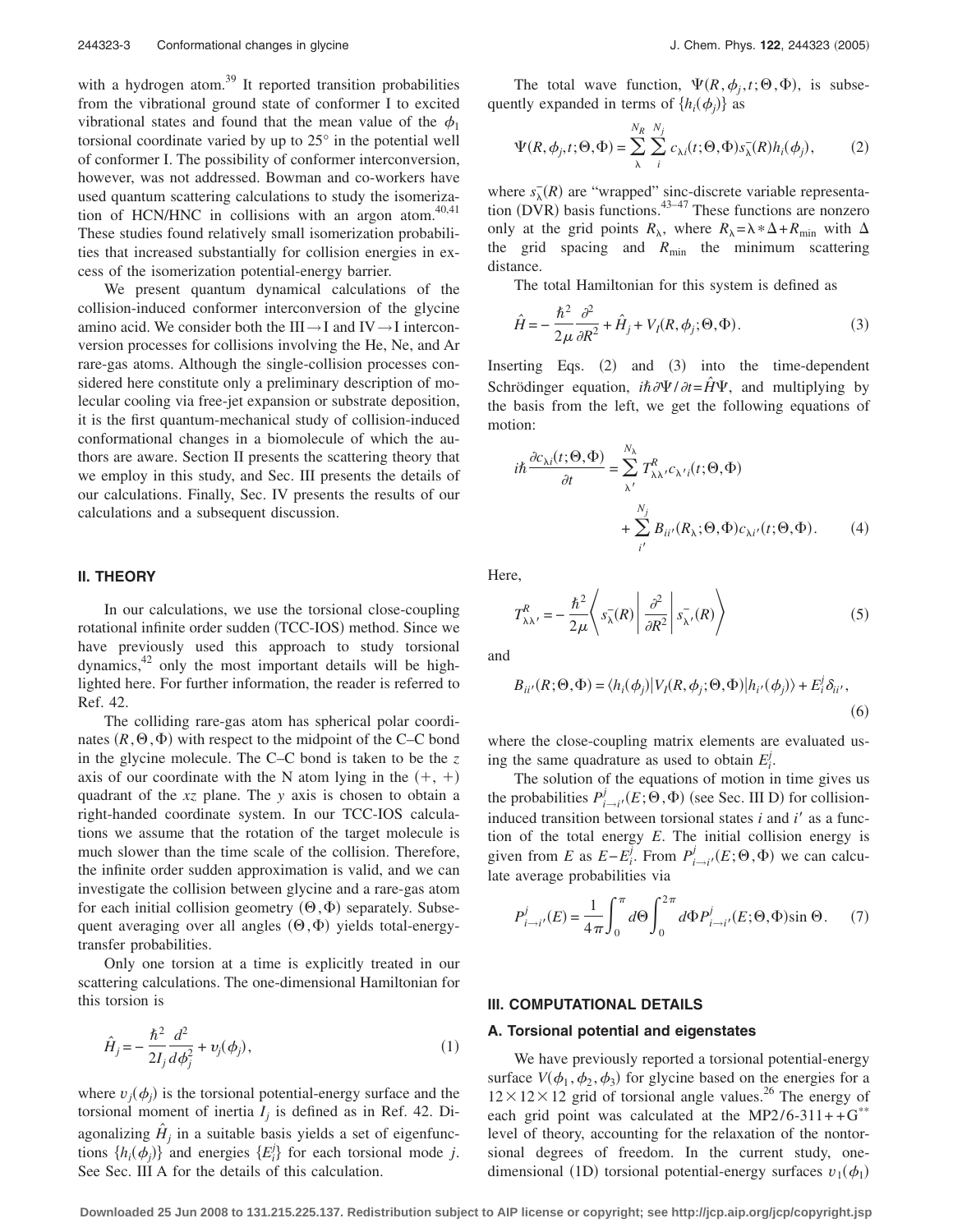with a hydrogen atom.<sup>39</sup> It reported transition probabilities from the vibrational ground state of conformer I to excited vibrational states and found that the mean value of the  $\phi_1$ torsional coordinate varied by up to 25° in the potential well of conformer I. The possibility of conformer interconversion, however, was not addressed. Bowman and co-workers have used quantum scattering calculations to study the isomerization of HCN/HNC in collisions with an argon atom. $40,41$ These studies found relatively small isomerization probabilities that increased substantially for collision energies in excess of the isomerization potential-energy barrier.

We present quantum dynamical calculations of the collision-induced conformer interconversion of the glycine amino acid. We consider both the  $III \rightarrow I$  and  $IV \rightarrow I$  interconversion processes for collisions involving the He, Ne, and Ar rare-gas atoms. Although the single-collision processes considered here constitute only a preliminary description of molecular cooling via free-jet expansion or substrate deposition, it is the first quantum-mechanical study of collision-induced conformational changes in a biomolecule of which the authors are aware. Section II presents the scattering theory that we employ in this study, and Sec. III presents the details of our calculations. Finally, Sec. IV presents the results of our calculations and a subsequent discussion.

# **II. THEORY**

In our calculations, we use the torsional close-coupling rotational infinite order sudden (TCC-IOS) method. Since we have previously used this approach to study torsional dynamics, $42$  only the most important details will be highlighted here. For further information, the reader is referred to Ref. 42.

The colliding rare-gas atom has spherical polar coordinates  $(R, \Theta, \Phi)$  with respect to the midpoint of the C–C bond in the glycine molecule. The C–C bond is taken to be the *z* axis of our coordinate with the N atom lying in the  $(+, +)$ quadrant of the *xz* plane. The *y* axis is chosen to obtain a right-handed coordinate system. In our TCC-IOS calculations we assume that the rotation of the target molecule is much slower than the time scale of the collision. Therefore, the infinite order sudden approximation is valid, and we can investigate the collision between glycine and a rare-gas atom for each initial collision geometry  $(\Theta, \Phi)$  separately. Subsequent averaging over all angles  $(\Theta, \Phi)$  yields total-energytransfer probabilities.

Only one torsion at a time is explicitly treated in our scattering calculations. The one-dimensional Hamiltonian for this torsion is

$$
\hat{H}_j = -\frac{\hbar^2}{2I_j} \frac{d^2}{d\phi_j^2} + v_j(\phi_j),
$$
\n(1)

where  $v_j(\phi_j)$  is the torsional potential-energy surface and the torsional moment of inertia  $I_i$  is defined as in Ref. 42. Diagonalizing  $H<sub>i</sub>$  in a suitable basis yields a set of eigenfunctions  $\{h_i(\phi_j)\}$  and energies  $\{E_i^j\}$  for each torsional mode *j*. See Sec. III A for the details of this calculation.

The total wave function,  $\Psi(R, \phi_j, t; \Theta, \Phi)$ , is subsequently expanded in terms of  $\{h_i(\phi_j)\}\$ as

$$
\Psi(R,\phi_j,t;\Theta,\Phi) = \sum_{\lambda}^{N_R} \sum_{i}^{N_j} c_{\lambda i}(t;\Theta,\Phi) s_{\lambda}^-(R) h_i(\phi_j), \qquad (2)
$$

where  $s_{\lambda}^-(R)$  are "wrapped" sinc-discrete variable representation (DVR) basis functions.<sup>43-47</sup> These functions are nonzero only at the grid points  $R_{\lambda}$ , where  $R_{\lambda} = \lambda * \Delta + R_{\min}$  with  $\Delta$ the grid spacing and  $R_{\text{min}}$  the minimum scattering distance.

The total Hamiltonian for this system is defined as

$$
\hat{H} = -\frac{\hbar^2}{2\mu} \frac{\partial^2}{\partial R^2} + \hat{H}_j + V_l(R, \phi_j; \Theta, \Phi).
$$
\n(3)

Inserting Eqs.  $(2)$  and  $(3)$  into the time-dependent Schrödinger equation,  $i\hbar \partial \Psi / \partial t = \hat{H} \Psi$ , and multiplying by the basis from the left, we get the following equations of motion:

$$
i\hbar \frac{\partial c_{\lambda i}(t; \Theta, \Phi)}{\partial t} = \sum_{\lambda'}^{N_{\lambda}} T_{\lambda \lambda'}^R c_{\lambda' i}(t; \Theta, \Phi)
$$

$$
+ \sum_{i'}^{N_j} B_{ii'}(R_{\lambda}; \Theta, \Phi) c_{\lambda i'}(t; \Theta, \Phi). \tag{4}
$$

Here,

$$
T_{\lambda\lambda'}^{R} = -\frac{\hbar^2}{2\mu} \left\langle s_{\lambda}^{-}(R) \middle| \frac{\partial^2}{\partial R^2} \middle| s_{\lambda'}^{-}(R) \right\rangle \tag{5}
$$

and

$$
B_{ii'}(R; \Theta, \Phi) = \langle h_i(\phi_j) | V_I(R, \phi_j; \Theta, \Phi) | h_{i'}(\phi_j) \rangle + E_i^j \delta_{ii'},
$$
\n(6)

where the close-coupling matrix elements are evaluated using the same quadrature as used to obtain  $E_i^j$ .

The solution of the equations of motion in time gives us the probabilities  $P^j_{i \to i'}(E; \Theta, \Phi)$  (see Sec. III D) for collisioninduced transition between torsional states  $i$  and  $i'$  as a function of the total energy *E*. The initial collision energy is given from *E* as  $E - E_i^j$ . From  $P_{i \to i'}^j(E; \Theta, \Phi)$  we can calculate average probabilities via

$$
P_{i\to i'}^j(E) = \frac{1}{4\pi} \int_0^{\pi} d\Theta \int_0^{2\pi} d\Phi P_{i\to i'}^j(E; \Theta, \Phi) \sin \Theta.
$$
 (7)

#### **III. COMPUTATIONAL DETAILS**

### **A. Torsional potential and eigenstates**

We have previously reported a torsional potential-energy surface  $V(\phi_1, \phi_2, \phi_3)$  for glycine based on the energies for a  $12 \times 12 \times 12$  grid of torsional angle values.<sup>26</sup> The energy of each grid point was calculated at the MP2/6-311++ $G^{**}$ level of theory, accounting for the relaxation of the nontorsional degrees of freedom. In the current study, onedimensional (1D) torsional potential-energy surfaces  $v_1(\phi_1)$ 

**Downloaded 25 Jun 2008 to 131.215.225.137. Redistribution subject to AIP license or copyright; see http://jcp.aip.org/jcp/copyright.jsp**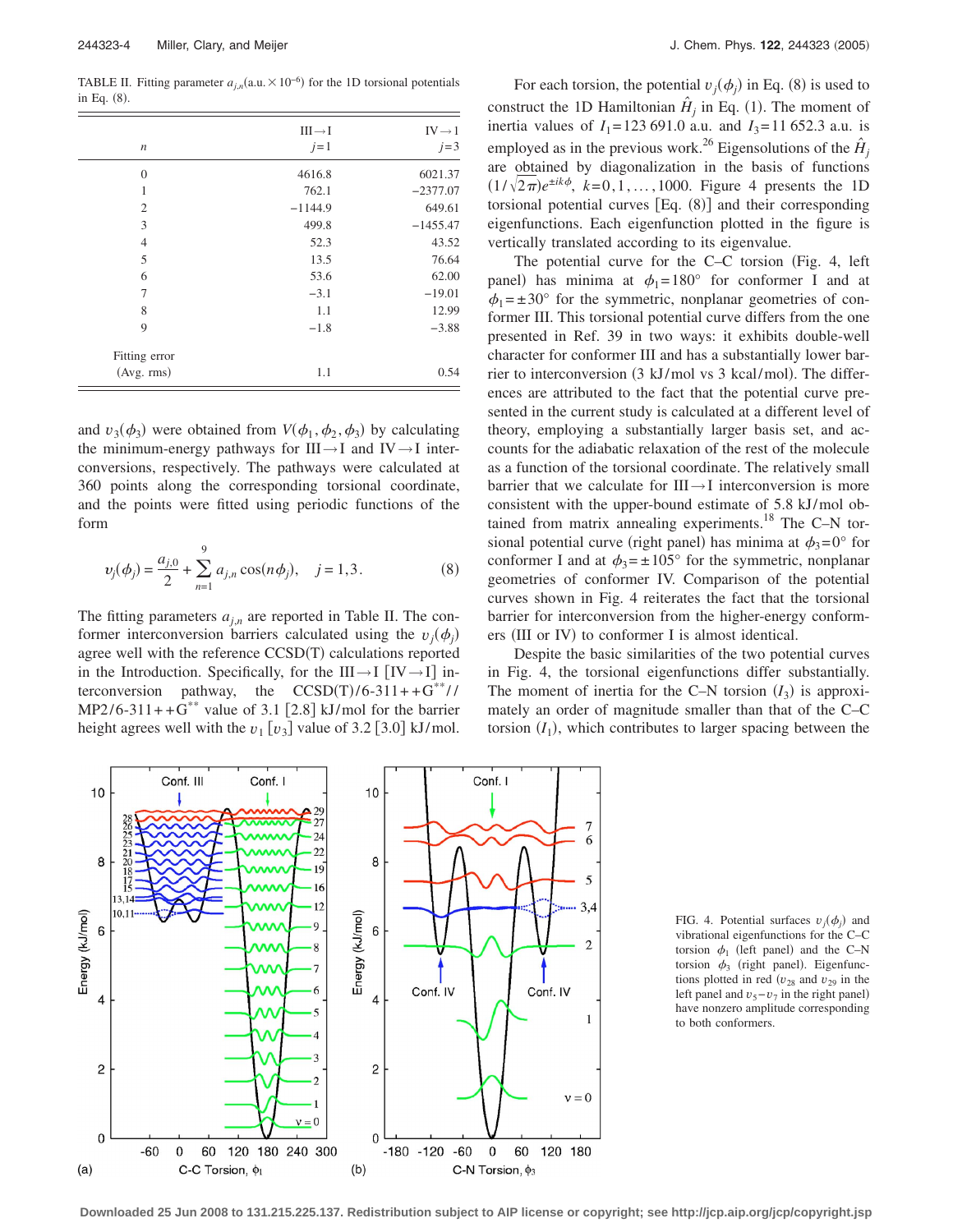TABLE II. Fitting parameter  $a_{j,n}$ (a.u. × 10<sup>-6</sup>) for the 1D torsional potentials in Eq. (8).

|                  | $III \rightarrow I$ | $IV \rightarrow 1$ |
|------------------|---------------------|--------------------|
| $\boldsymbol{n}$ | $i=1$               | $i=3$              |
| $\overline{0}$   | 4616.8              | 6021.37            |
| 1                | 762.1               | $-2377.07$         |
| $\overline{2}$   | $-1144.9$           | 649.61             |
| 3                | 499.8               | $-1455.47$         |
| $\overline{4}$   | 52.3                | 43.52              |
| 5                | 13.5                | 76.64              |
| 6                | 53.6                | 62.00              |
| 7                | $-3.1$              | $-19.01$           |
| 8                | 1.1                 | 12.99              |
| 9                | $-1.8$              | $-3.88$            |
| Fitting error    |                     |                    |
| (Avg. rms)       | 1.1                 | 0.54               |

and  $v_3(\phi_3)$  were obtained from  $V(\phi_1, \phi_2, \phi_3)$  by calculating the minimum-energy pathways for  $III \rightarrow I$  and  $IV \rightarrow I$  interconversions, respectively. The pathways were calculated at 360 points along the corresponding torsional coordinate, and the points were fitted using periodic functions of the form

$$
v_j(\phi_j) = \frac{a_{j,0}}{2} + \sum_{n=1}^{9} a_{j,n} \cos(n\phi_j), \quad j = 1,3.
$$
 (8)

The fitting parameters  $a_{i,n}$  are reported in Table II. The conformer interconversion barriers calculated using the  $v_j(\phi_j)$ agree well with the reference CCSD(T) calculations reported in the Introduction. Specifically, for the III $\rightarrow$ I  $[IV\rightarrow I]$  interconversion pathway, the  $CCSD(T)/6-311++G^{**}//$  $MP2/6-311++G^{**}$  value of 3.1 [2.8] kJ/mol for the barrier height agrees well with the  $v_1$   $[v_3]$  value of 3.2 [3.0] kJ/mol.

For each torsion, the potential  $v_j(\phi_j)$  in Eq. (8) is used to construct the 1D Hamiltonian  $\hat{H}_j$  in Eq. (1). The moment of inertia values of  $I_1$ =123 691.0 a.u. and  $I_3$ =11 652.3 a.u. is employed as in the previous work.<sup>26</sup> Eigensolutions of the  $\hat{H}_i$ are obtained by diagonalization in the basis of functions  $(1/\sqrt{2\pi})e^{\pm ik\phi}$ ,  $k=0,1,\ldots,1000$ . Figure 4 presents the 1D torsional potential curves [Eq. (8)] and their corresponding eigenfunctions. Each eigenfunction plotted in the figure is vertically translated according to its eigenvalue.

The potential curve for the  $C-C$  torsion (Fig. 4, left panel) has minima at  $\phi_1 = 180^\circ$  for conformer I and at  $\phi_1 = \pm 30^\circ$  for the symmetric, nonplanar geometries of conformer III. This torsional potential curve differs from the one presented in Ref. 39 in two ways: it exhibits double-well character for conformer III and has a substantially lower barrier to interconversion (3 kJ/mol vs 3 kcal/mol). The differences are attributed to the fact that the potential curve presented in the current study is calculated at a different level of theory, employing a substantially larger basis set, and accounts for the adiabatic relaxation of the rest of the molecule as a function of the torsional coordinate. The relatively small barrier that we calculate for III→I interconversion is more consistent with the upper-bound estimate of 5.8 kJ/mol obtained from matrix annealing experiments.<sup>18</sup> The C–N torsional potential curve (right panel) has minima at  $\phi_3 = 0^\circ$  for conformer I and at  $\phi_3 = \pm 105^\circ$  for the symmetric, nonplanar geometries of conformer IV. Comparison of the potential curves shown in Fig. 4 reiterates the fact that the torsional barrier for interconversion from the higher-energy conformers (III or IV) to conformer I is almost identical.

Despite the basic similarities of the two potential curves in Fig. 4, the torsional eigenfunctions differ substantially. The moment of inertia for the C–N torsion  $(I_3)$  is approximately an order of magnitude smaller than that of the C–C torsion  $(I_1)$ , which contributes to larger spacing between the



FIG. 4. Potential surfaces  $v_j(\phi_j)$  and vibrational eigenfunctions for the C–C torsion  $\phi_1$  (left panel) and the C-N torsion  $\phi_3$  (right panel). Eigenfunctions plotted in red  $(v_{28}$  and  $v_{29}$  in the left panel and  $v_5 - v_7$  in the right panel) have nonzero amplitude corresponding to both conformers.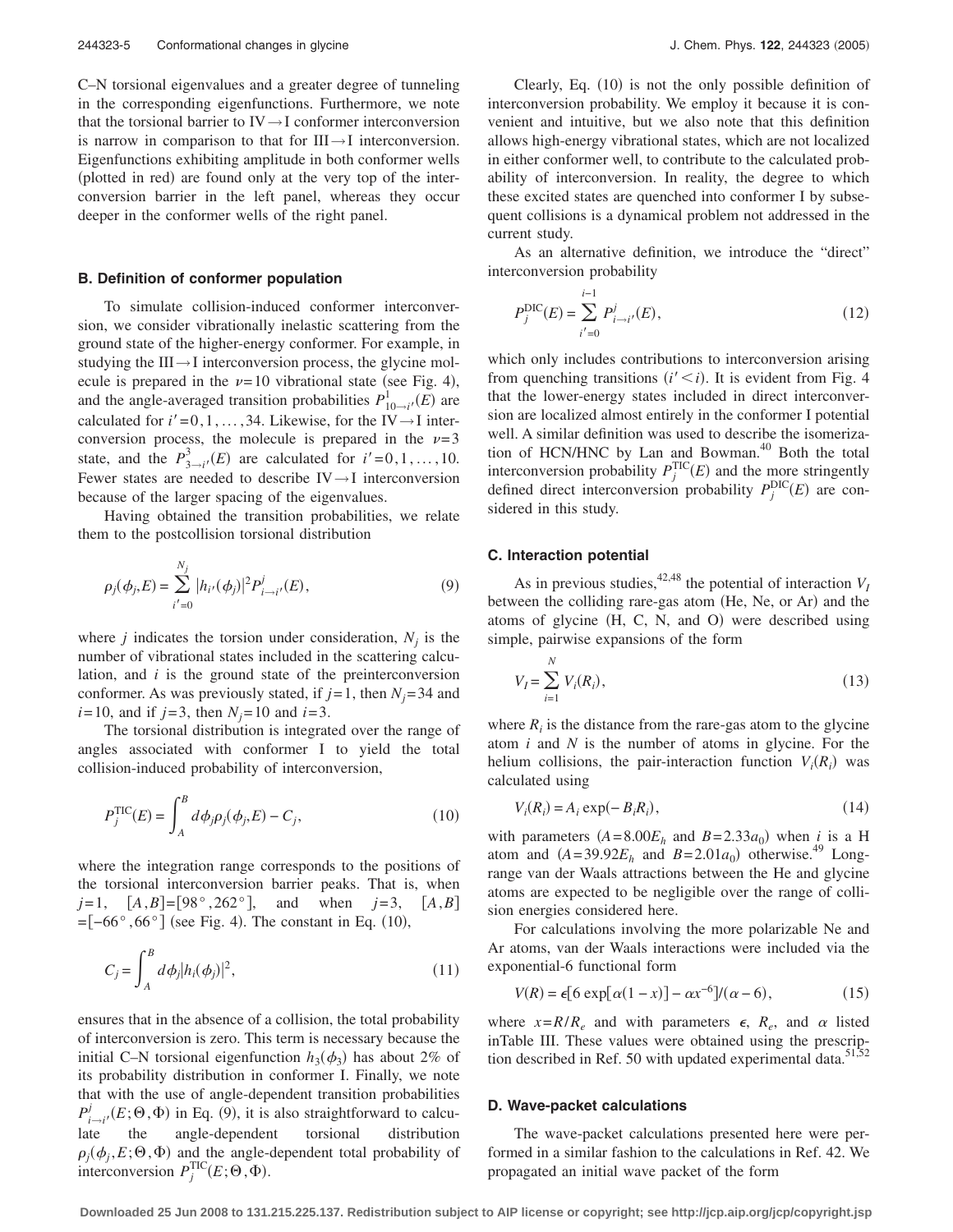C–N torsional eigenvalues and a greater degree of tunneling in the corresponding eigenfunctions. Furthermore, we note that the torsional barrier to  $IV \rightarrow I$  conformer interconversion is narrow in comparison to that for  $III \rightarrow I$  interconversion. Eigenfunctions exhibiting amplitude in both conformer wells (plotted in red) are found only at the very top of the interconversion barrier in the left panel, whereas they occur deeper in the conformer wells of the right panel.

#### **B. Definition of conformer population**

To simulate collision-induced conformer interconversion, we consider vibrationally inelastic scattering from the ground state of the higher-energy conformer. For example, in studying the III→I interconversion process, the glycine molecule is prepared in the  $\nu=10$  vibrational state (see Fig. 4), and the angle-averaged transition probabilities  $P_{10\rightarrow i'}^1(E)$  are calculated for  $i'=0,1,\ldots,34$ . Likewise, for the IV $\rightarrow$ I interconversion process, the molecule is prepared in the  $\nu=3$ state, and the  $P_{3\rightarrow i'}^3(E)$  are calculated for  $i'=0,1,\ldots,10$ . Fewer states are needed to describe IV→I interconversion because of the larger spacing of the eigenvalues.

Having obtained the transition probabilities, we relate them to the postcollision torsional distribution

$$
\rho_j(\phi_j, E) = \sum_{i'=0}^{N_j} |h_{i'}(\phi_j)|^2 P_{i \to i'}^j(E), \qquad (9)
$$

where *j* indicates the torsion under consideration,  $N_i$  is the number of vibrational states included in the scattering calculation, and *i* is the ground state of the preinterconversion conformer. As was previously stated, if  $j = 1$ , then  $N_j = 34$  and  $i=10$ , and if  $j=3$ , then  $N_i=10$  and  $i=3$ .

The torsional distribution is integrated over the range of angles associated with conformer I to yield the total collision-induced probability of interconversion,

$$
P_j^{\text{TIC}}(E) = \int_A^B d\phi_j \rho_j(\phi_j, E) - C_j,
$$
 (10)

where the integration range corresponds to the positions of the torsional interconversion barrier peaks. That is, when  $j=1$ ,  $[A,B]=[98^\circ, 262^\circ]$ , and when  $j=3$ ,  $[A,B]$  $=[-66^{\circ}, 66^{\circ}]$  (see Fig. 4). The constant in Eq. (10),

$$
C_j = \int_A^B d\phi_j |h_i(\phi_j)|^2,
$$
\n(11)

ensures that in the absence of a collision, the total probability of interconversion is zero. This term is necessary because the initial C–N torsional eigenfunction  $h_3(\phi_3)$  has about 2% of its probability distribution in conformer I. Finally, we note that with the use of angle-dependent transition probabilities  $P^j_{i\to i'}(E; \Theta, \Phi)$  in Eq. (9), it is also straightforward to calculate the angle-dependent torsional distribution  $\rho_j(\phi_j, E; \Theta, \Phi)$  and the angle-dependent total probability of interconversion  $P_j^{\text{TIC}}(E; \Theta, \Phi)$ .

Clearly, Eq. (10) is not the only possible definition of interconversion probability. We employ it because it is convenient and intuitive, but we also note that this definition allows high-energy vibrational states, which are not localized in either conformer well, to contribute to the calculated probability of interconversion. In reality, the degree to which these excited states are quenched into conformer I by subsequent collisions is a dynamical problem not addressed in the current study.

As an alternative definition, we introduce the "direct" interconversion probability

$$
P_j^{\text{DIC}}(E) = \sum_{i'=0}^{i-1} P_{i \to i'}^j(E), \tag{12}
$$

which only includes contributions to interconversion arising from quenching transitions  $(i' \le i)$ . It is evident from Fig. 4 that the lower-energy states included in direct interconversion are localized almost entirely in the conformer I potential well. A similar definition was used to describe the isomerization of HCN/HNC by Lan and Bowman.<sup>40</sup> Both the total interconversion probability  $P_j^{\text{TIC}}(E)$  and the more stringently defined direct interconversion probability  $P_j^{\text{DIC}}(E)$  are considered in this study.

# **C. Interaction potential**

As in previous studies,  $42.48$  the potential of interaction  $V_I$ between the colliding rare-gas atom (He, Ne, or Ar) and the atoms of glycine (H, C, N, and O) were described using simple, pairwise expansions of the form

$$
V_I = \sum_{i=1}^{N} V_i(R_i),
$$
\n(13)

where  $R_i$  is the distance from the rare-gas atom to the glycine atom *i* and *N* is the number of atoms in glycine. For the helium collisions, the pair-interaction function  $V_i(R_i)$  was calculated using

$$
V_i(R_i) = A_i \exp(-B_i R_i), \qquad (14)
$$

with parameters  $(A=8.00E_h$  and  $B=2.33a_0$ ) when *i* is a H atom and  $(A=39.92E_h$  and  $B=2.01a_0$ ) otherwise.<sup>49</sup> Longrange van der Waals attractions between the He and glycine atoms are expected to be negligible over the range of collision energies considered here.

For calculations involving the more polarizable Ne and Ar atoms, van der Waals interactions were included via the exponential-6 functional form

$$
V(R) = \epsilon [6 \exp[\alpha (1 - x)] - \alpha x^{-6}]/(\alpha - 6),
$$
 (15)

where  $x=R/R_e$  and with parameters  $\epsilon$ ,  $R_e$ , and  $\alpha$  listed inTable III. These values were obtained using the prescription described in Ref. 50 with updated experimental data.<sup>51,52</sup>

#### **D. Wave-packet calculations**

The wave-packet calculations presented here were performed in a similar fashion to the calculations in Ref. 42. We propagated an initial wave packet of the form

**Downloaded 25 Jun 2008 to 131.215.225.137. Redistribution subject to AIP license or copyright; see http://jcp.aip.org/jcp/copyright.jsp**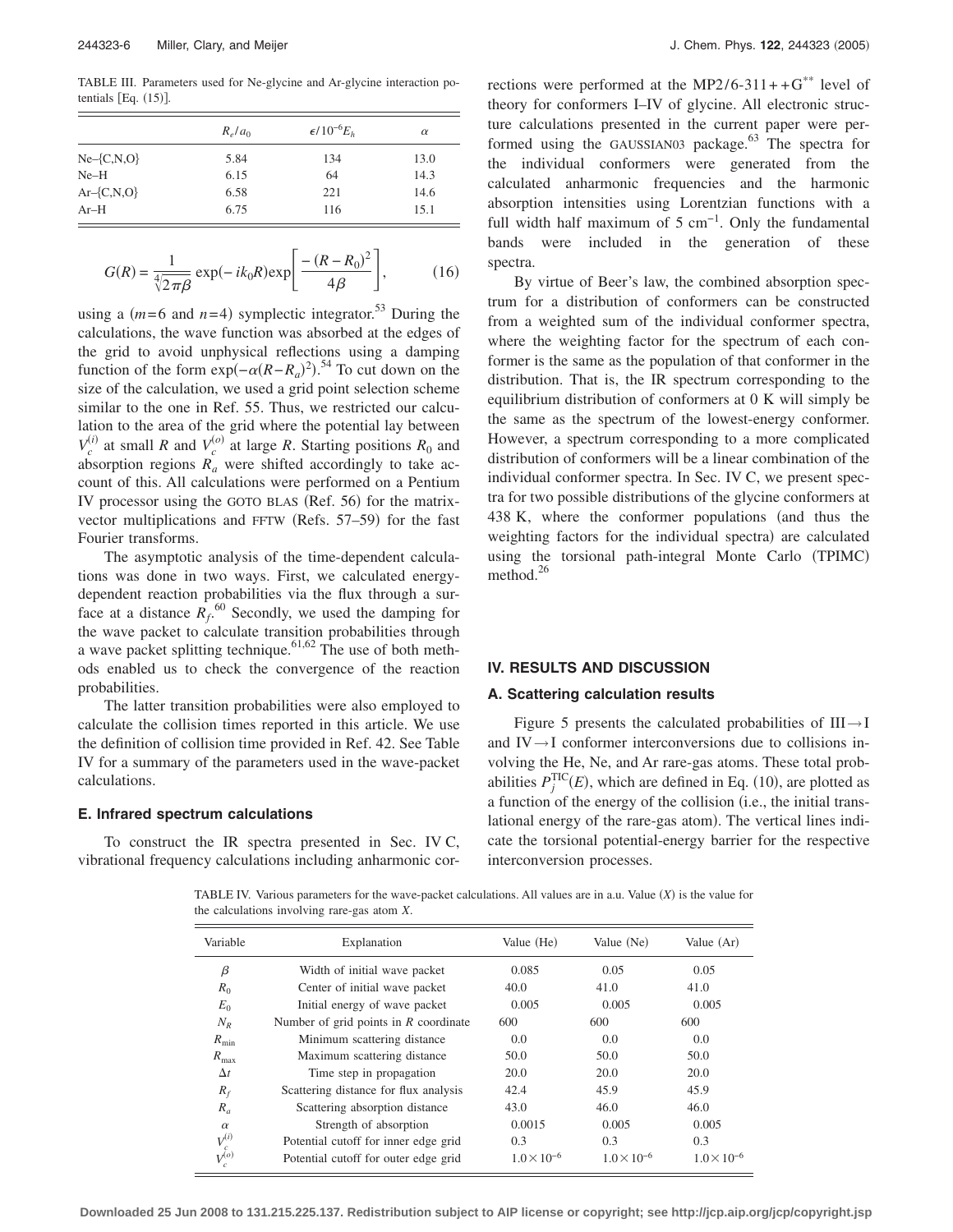TABLE III. Parameters used for Ne-glycine and Ar-glycine interaction potentials  $[Eq. (15)].$ 

|                  | $R_{e}/a_{0}$ | $\epsilon/10^{-6}E_h$ | $\alpha$ |
|------------------|---------------|-----------------------|----------|
| $Ne-\{C, N, O\}$ | 5.84          | 134                   | 13.0     |
| $Ne-H$           | 6.15          | 64                    | 14.3     |
| $Ar-\{C,N,O\}$   | 6.58          | 221                   | 14.6     |
| $Ar-H$           | 6.75          | 116                   | 15.1     |

$$
G(R) = \frac{1}{\sqrt[4]{2\pi\beta}} \exp(-ik_0 R) \exp\left[\frac{-(R - R_0)^2}{4\beta}\right],
$$
 (16)

using a  $(m=6 \text{ and } n=4)$  symplectic integrator.<sup>53</sup> During the calculations, the wave function was absorbed at the edges of the grid to avoid unphysical reflections using a damping function of the form  $\exp(-\alpha (R - R_a)^2)$ .<sup>54</sup> To cut down on the size of the calculation, we used a grid point selection scheme similar to the one in Ref. 55. Thus, we restricted our calculation to the area of the grid where the potential lay between  $V_c^{(i)}$  at small *R* and  $V_c^{(o)}$  at large *R*. Starting positions  $R_0$  and absorption regions  $R_a$  were shifted accordingly to take account of this. All calculations were performed on a Pentium IV processor using the GOTO BLAS (Ref. 56) for the matrixvector multiplications and FFTW (Refs. 57-59) for the fast Fourier transforms.

The asymptotic analysis of the time-dependent calculations was done in two ways. First, we calculated energydependent reaction probabilities via the flux through a surface at a distance  $\overline{R}_{f}^{60}$ . Secondly, we used the damping for the wave packet to calculate transition probabilities through a wave packet splitting technique.  $61,62$  The use of both methods enabled us to check the convergence of the reaction probabilities.

The latter transition probabilities were also employed to calculate the collision times reported in this article. We use the definition of collision time provided in Ref. 42. See Table IV for a summary of the parameters used in the wave-packet calculations.

# **E. Infrared spectrum calculations**

To construct the IR spectra presented in Sec. IV C, vibrational frequency calculations including anharmonic corrections were performed at the MP2/6-311++ $G^{**}$  level of theory for conformers I–IV of glycine. All electronic structure calculations presented in the current paper were performed using the GAUSSIAN03 package. $63$  The spectra for the individual conformers were generated from the calculated anharmonic frequencies and the harmonic absorption intensities using Lorentzian functions with a full width half maximum of  $5 \text{ cm}^{-1}$ . Only the fundamental bands were included in the generation of these spectra.

By virtue of Beer's law, the combined absorption spectrum for a distribution of conformers can be constructed from a weighted sum of the individual conformer spectra, where the weighting factor for the spectrum of each conformer is the same as the population of that conformer in the distribution. That is, the IR spectrum corresponding to the equilibrium distribution of conformers at 0 K will simply be the same as the spectrum of the lowest-energy conformer. However, a spectrum corresponding to a more complicated distribution of conformers will be a linear combination of the individual conformer spectra. In Sec. IV C, we present spectra for two possible distributions of the glycine conformers at 438 K, where the conformer populations (and thus the weighting factors for the individual spectra) are calculated using the torsional path-integral Monte Carlo (TPIMC) method.<sup>26</sup>

# **IV. RESULTS AND DISCUSSION**

## **A. Scattering calculation results**

Figure 5 presents the calculated probabilities of  $III \rightarrow I$ and  $IV \rightarrow I$  conformer interconversions due to collisions involving the He, Ne, and Ar rare-gas atoms. These total probabilities  $P_j^{\text{TIC}}(E)$ , which are defined in Eq. (10), are plotted as a function of the energy of the collision (i.e., the initial translational energy of the rare-gas atom). The vertical lines indicate the torsional potential-energy barrier for the respective interconversion processes.

TABLE IV. Various parameters for the wave-packet calculations. All values are in a.u. Value (X) is the value for the calculations involving rare-gas atom *X*.

| Variable                   | Explanation                             | Value (He)           | Value (Ne)           | Value (Ar)           |
|----------------------------|-----------------------------------------|----------------------|----------------------|----------------------|
| β                          | Width of initial wave packet            | 0.085                | 0.05                 | 0.05                 |
| $R_0$                      | Center of initial wave packet           | 40.0                 | 41.0                 | 41.0                 |
| $E_0$                      | Initial energy of wave packet           | 0.005                | 0.005                | 0.005                |
| $N_R$                      | Number of grid points in $R$ coordinate | 600                  | 600                  | 600                  |
| $R_{\min}$                 | Minimum scattering distance             | 0.0                  | 0.0                  | 0.0                  |
| $R_{\text{max}}$           | Maximum scattering distance             | 50.0                 | 50.0                 | 50.0                 |
| $\Delta t$                 | Time step in propagation                | 20.0                 | 20.0                 | 20.0                 |
| $R_f$                      | Scattering distance for flux analysis   | 42.4                 | 45.9                 | 45.9                 |
| $R_a$                      | Scattering absorption distance          | 43.0                 | 46.0                 | 46.0                 |
| $\alpha$                   | Strength of absorption                  | 0.0015               | 0.005                | 0.005                |
|                            | Potential cutoff for inner edge grid    | 0.3                  | 0.3                  | 0.3                  |
| $V_c^{(i)}\over V_c^{(o)}$ | Potential cutoff for outer edge grid    | $1.0 \times 10^{-6}$ | $1.0 \times 10^{-6}$ | $1.0 \times 10^{-6}$ |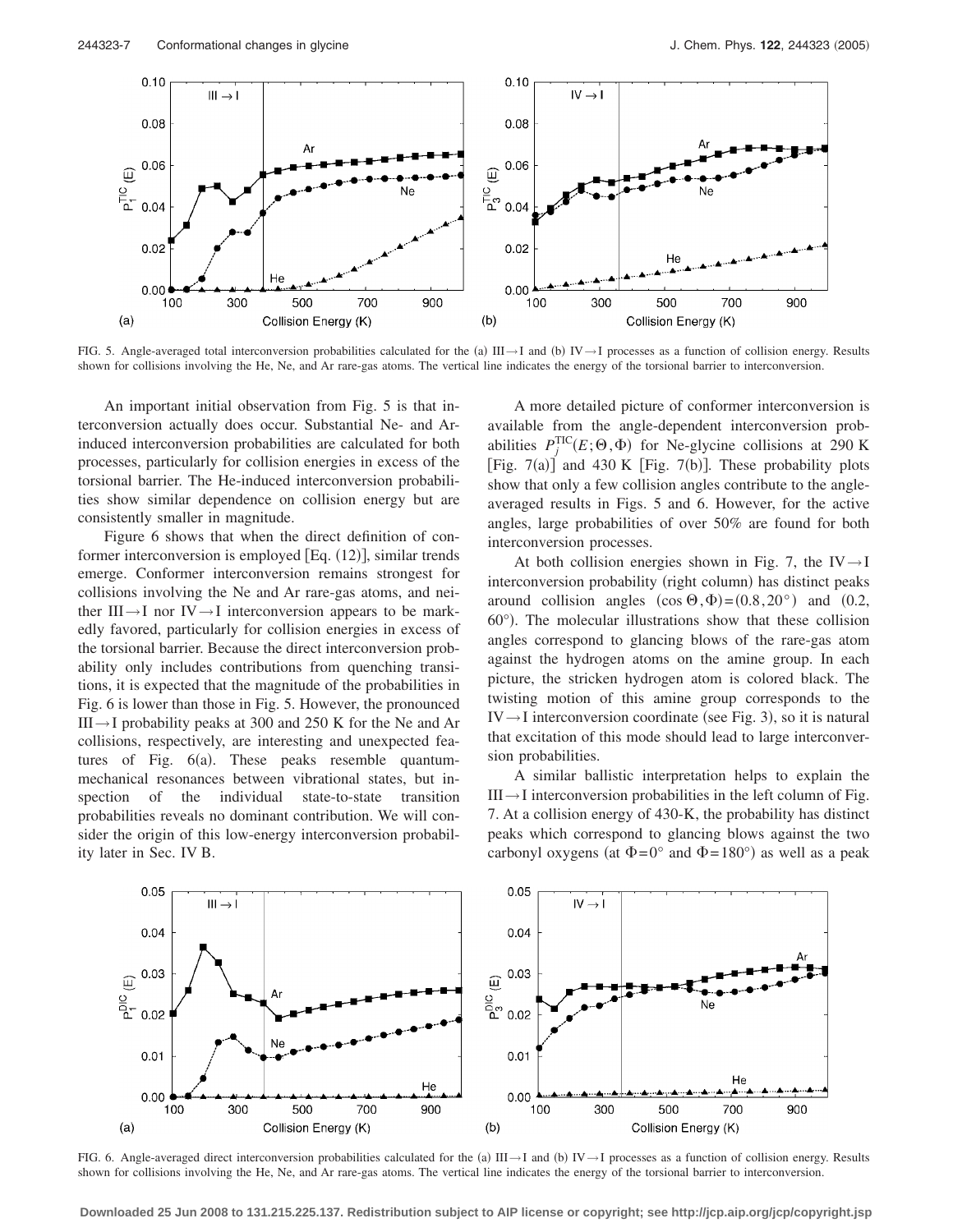

FIG. 5. Angle-averaged total interconversion probabilities calculated for the (a)  $III \rightarrow I$  and (b)  $IV \rightarrow I$  processes as a function of collision energy. Results shown for collisions involving the He, Ne, and Ar rare-gas atoms. The vertical line indicates the energy of the torsional barrier to interconversion.

An important initial observation from Fig. 5 is that interconversion actually does occur. Substantial Ne- and Arinduced interconversion probabilities are calculated for both processes, particularly for collision energies in excess of the torsional barrier. The He-induced interconversion probabilities show similar dependence on collision energy but are consistently smaller in magnitude.

Figure 6 shows that when the direct definition of conformer interconversion is employed [Eq. (12)], similar trends emerge. Conformer interconversion remains strongest for collisions involving the Ne and Ar rare-gas atoms, and neither III $\rightarrow$ I nor IV $\rightarrow$ I interconversion appears to be markedly favored, particularly for collision energies in excess of the torsional barrier. Because the direct interconversion probability only includes contributions from quenching transitions, it is expected that the magnitude of the probabilities in Fig. 6 is lower than those in Fig. 5. However, the pronounced III→I probability peaks at 300 and 250 K for the Ne and Ar collisions, respectively, are interesting and unexpected features of Fig.  $6(a)$ . These peaks resemble quantummechanical resonances between vibrational states, but inspection of the individual state-to-state transition probabilities reveals no dominant contribution. We will consider the origin of this low-energy interconversion probability later in Sec. IV B.

A more detailed picture of conformer interconversion is available from the angle-dependent interconversion probabilities  $P_j^{\text{TIC}}(E; \Theta, \Phi)$  for Ne-glycine collisions at 290 K [Fig.  $7(a)$ ] and 430 K [Fig.  $7(b)$ ]. These probability plots show that only a few collision angles contribute to the angleaveraged results in Figs. 5 and 6. However, for the active angles, large probabilities of over 50% are found for both interconversion processes.

At both collision energies shown in Fig. 7, the  $IV \rightarrow I$ interconversion probability (right column) has distinct peaks around collision angles  $(\cos \Theta, \Phi) = (0.8, 20^{\circ})$  and  $(0.2,$ 60°-. The molecular illustrations show that these collision angles correspond to glancing blows of the rare-gas atom against the hydrogen atoms on the amine group. In each picture, the stricken hydrogen atom is colored black. The twisting motion of this amine group corresponds to the IV  $\rightarrow$  I interconversion coordinate (see Fig. 3), so it is natural that excitation of this mode should lead to large interconversion probabilities.

A similar ballistic interpretation helps to explain the  $III \rightarrow I$  interconversion probabilities in the left column of Fig. 7. At a collision energy of 430-K, the probability has distinct peaks which correspond to glancing blows against the two carbonyl oxygens (at  $\Phi = 0^{\circ}$  and  $\Phi = 180^{\circ}$ ) as well as a peak



FIG. 6. Angle-averaged direct interconversion probabilities calculated for the (a)  $III \rightarrow I$  and (b)  $IV \rightarrow I$  processes as a function of collision energy. Results shown for collisions involving the He, Ne, and Ar rare-gas atoms. The vertical line indicates the energy of the torsional barrier to interconversion.

**Downloaded 25 Jun 2008 to 131.215.225.137. Redistribution subject to AIP license or copyright; see http://jcp.aip.org/jcp/copyright.jsp**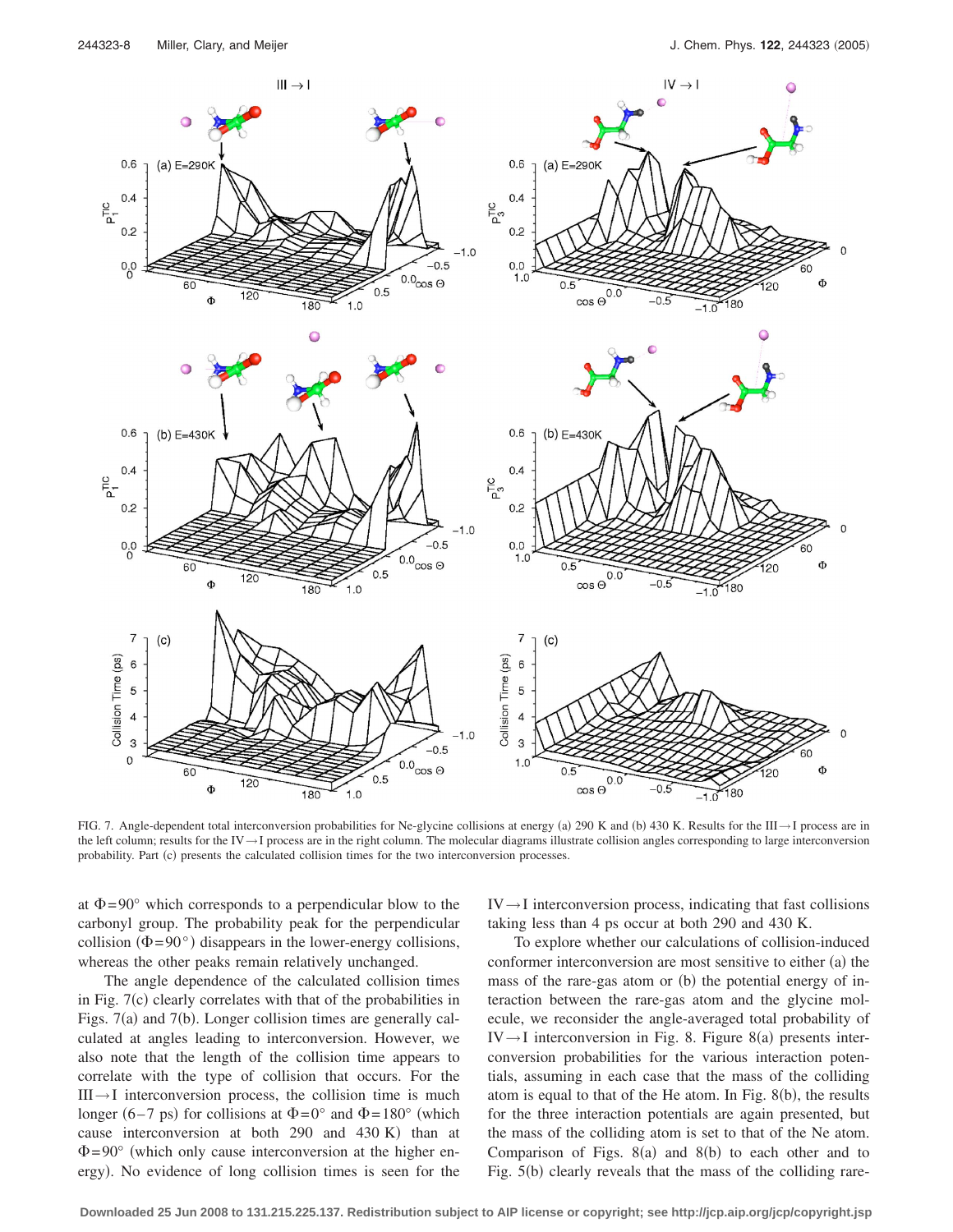

FIG. 7. Angle-dependent total interconversion probabilities for Ne-glycine collisions at energy (a) 290 K and (b) 430 K. Results for the III $\rightarrow$ I process are in the left column; results for the IV $\rightarrow$ I process are in the right column. The molecular diagrams illustrate collision angles corresponding to large interconversion probability. Part (c) presents the calculated collision times for the two interconversion processes.

at  $\Phi$ =90° which corresponds to a perpendicular blow to the carbonyl group. The probability peak for the perpendicular collision  $(\Phi = 90^{\circ})$  disappears in the lower-energy collisions, whereas the other peaks remain relatively unchanged.

The angle dependence of the calculated collision times in Fig. 7(c) clearly correlates with that of the probabilities in Figs. 7(a) and 7(b). Longer collision times are generally calculated at angles leading to interconversion. However, we also note that the length of the collision time appears to correlate with the type of collision that occurs. For the  $III \rightarrow I$  interconversion process, the collision time is much longer (6–7 ps) for collisions at  $\Phi = 0^\circ$  and  $\Phi = 180^\circ$  (which cause interconversion at both  $290$  and  $430$  K) than at  $\Phi$ =90° (which only cause interconversion at the higher energy). No evidence of long collision times is seen for the

 $IV \rightarrow I$  interconversion process, indicating that fast collisions taking less than 4 ps occur at both 290 and 430 K.

To explore whether our calculations of collision-induced conformer interconversion are most sensitive to either (a) the mass of the rare-gas atom or (b) the potential energy of interaction between the rare-gas atom and the glycine molecule, we reconsider the angle-averaged total probability of IV $\rightarrow$ I interconversion in Fig. 8. Figure 8(a) presents interconversion probabilities for the various interaction potentials, assuming in each case that the mass of the colliding atom is equal to that of the He atom. In Fig.  $8(b)$ , the results for the three interaction potentials are again presented, but the mass of the colliding atom is set to that of the Ne atom. Comparison of Figs.  $8(a)$  and  $8(b)$  to each other and to Fig. 5(b) clearly reveals that the mass of the colliding rare-

**Downloaded 25 Jun 2008 to 131.215.225.137. Redistribution subject to AIP license or copyright; see http://jcp.aip.org/jcp/copyright.jsp**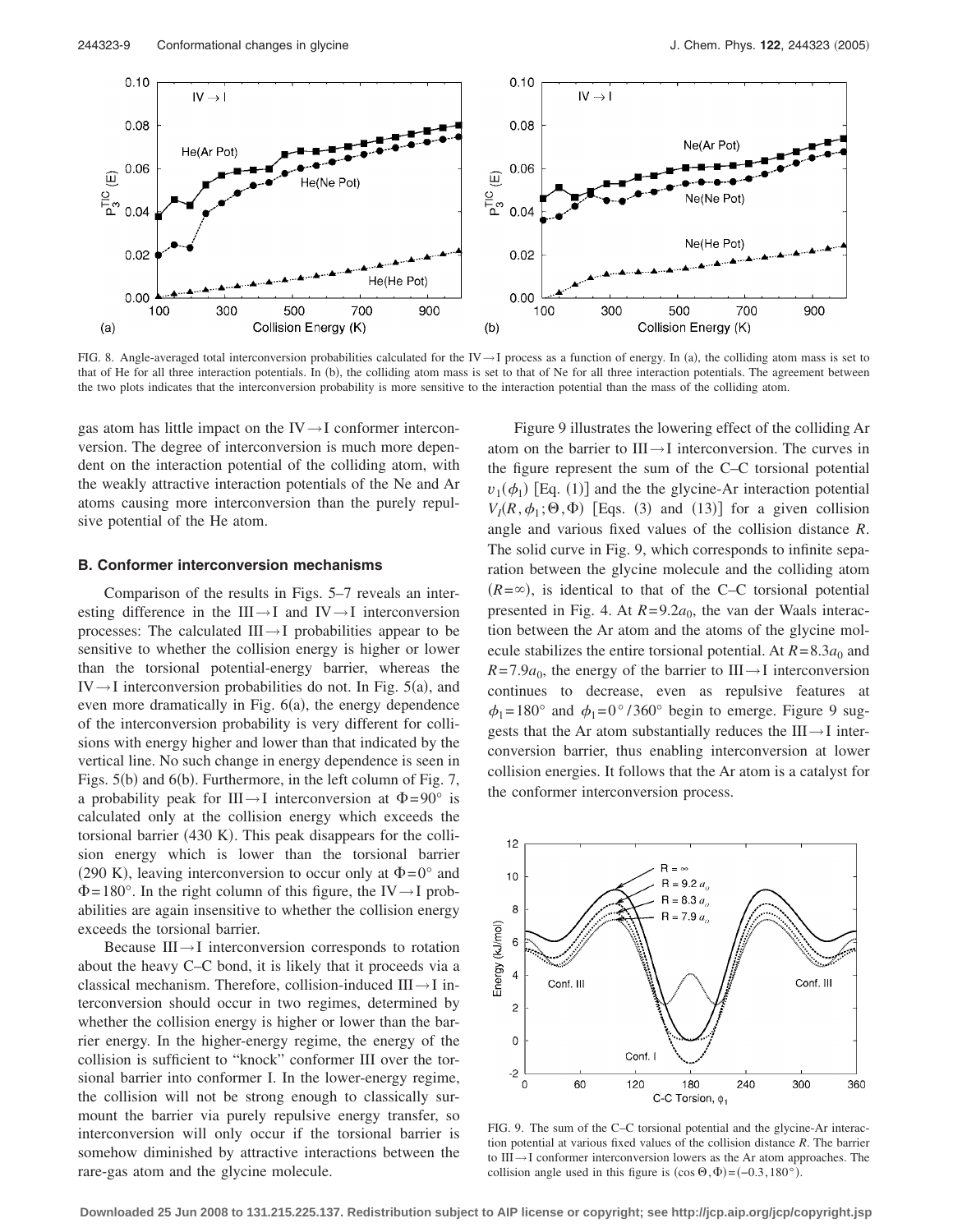

FIG. 8. Angle-averaged total interconversion probabilities calculated for the IV $\rightarrow$ I process as a function of energy. In (a), the colliding atom mass is set to that of He for all three interaction potentials. In (b), the colliding atom mass is set to that of Ne for all three interaction potentials. The agreement between the two plots indicates that the interconversion probability is more sensitive to the interaction potential than the mass of the colliding atom.

gas atom has little impact on the IV→I conformer interconversion. The degree of interconversion is much more dependent on the interaction potential of the colliding atom, with the weakly attractive interaction potentials of the Ne and Ar atoms causing more interconversion than the purely repulsive potential of the He atom.

### **B. Conformer interconversion mechanisms**

Comparison of the results in Figs. 5–7 reveals an interesting difference in the  $III \rightarrow I$  and  $IV \rightarrow I$  interconversion processes: The calculated III→I probabilities appear to be sensitive to whether the collision energy is higher or lower than the torsional potential-energy barrier, whereas the IV $\rightarrow$ I interconversion probabilities do not. In Fig. 5(a), and even more dramatically in Fig.  $6(a)$ , the energy dependence of the interconversion probability is very different for collisions with energy higher and lower than that indicated by the vertical line. No such change in energy dependence is seen in Figs. 5(b) and 6(b). Furthermore, in the left column of Fig. 7, a probability peak for III $\rightarrow$ I interconversion at  $\Phi$ =90° is calculated only at the collision energy which exceeds the torsional barrier (430 K). This peak disappears for the collision energy which is lower than the torsional barrier (290 K), leaving interconversion to occur only at  $\Phi = 0^{\circ}$  and  $\Phi$ =180°. In the right column of this figure, the IV $\rightarrow$ I probabilities are again insensitive to whether the collision energy exceeds the torsional barrier.

Because III→I interconversion corresponds to rotation about the heavy C–C bond, it is likely that it proceeds via a classical mechanism. Therefore, collision-induced III→I interconversion should occur in two regimes, determined by whether the collision energy is higher or lower than the barrier energy. In the higher-energy regime, the energy of the collision is sufficient to "knock" conformer III over the torsional barrier into conformer I. In the lower-energy regime, the collision will not be strong enough to classically surmount the barrier via purely repulsive energy transfer, so interconversion will only occur if the torsional barrier is somehow diminished by attractive interactions between the rare-gas atom and the glycine molecule.

Figure 9 illustrates the lowering effect of the colliding Ar atom on the barrier to  $III \rightarrow I$  interconversion. The curves in the figure represent the sum of the C–C torsional potential  $v_1(\phi_1)$  [Eq. (1)] and the the glycine-Ar interaction potential  $V_I(R, \phi_1; \Theta, \Phi)$  [Eqs. (3) and (13)] for a given collision angle and various fixed values of the collision distance *R*. The solid curve in Fig. 9, which corresponds to infinite separation between the glycine molecule and the colliding atom  $(R = \infty)$ , is identical to that of the C–C torsional potential presented in Fig. 4. At  $R=9.2a_0$ , the van der Waals interaction between the Ar atom and the atoms of the glycine molecule stabilizes the entire torsional potential. At  $R=8.3a_0$  and  $R=7.9a_0$ , the energy of the barrier to III  $\rightarrow$ I interconversion continues to decrease, even as repulsive features at  $\phi_1 = 180^\circ$  and  $\phi_1 = 0^\circ / 360^\circ$  begin to emerge. Figure 9 suggests that the Ar atom substantially reduces the  $III \rightarrow I$  interconversion barrier, thus enabling interconversion at lower collision energies. It follows that the Ar atom is a catalyst for the conformer interconversion process.



FIG. 9. The sum of the C–C torsional potential and the glycine-Ar interaction potential at various fixed values of the collision distance *R*. The barrier to III→I conformer interconversion lowers as the Ar atom approaches. The collision angle used in this figure is  $(\cos \Theta, \Phi) = (-0.3, 180^{\circ})$ .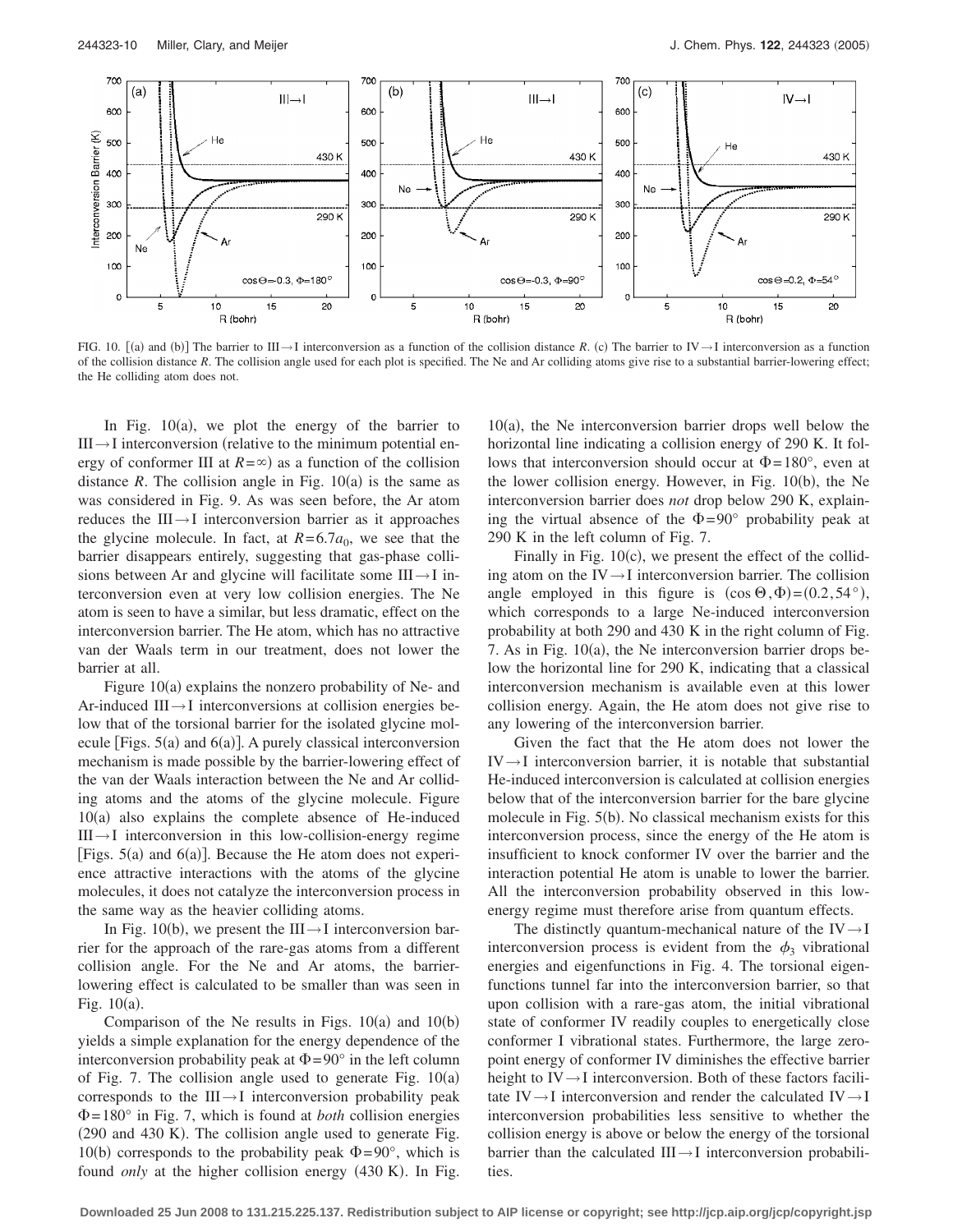

FIG. 10. [(a) and (b)] The barrier to III→I interconversion as a function of the collision distance *R*. (c) The barrier to IV→I interconversion as a function of the collision distance *R*. The collision angle used for each plot is specified. The Ne and Ar colliding atoms give rise to a substantial barrier-lowering effect; the He colliding atom does not.

In Fig.  $10(a)$ , we plot the energy of the barrier to  $III \rightarrow I$  interconversion (relative to the minimum potential energy of conformer III at  $R = \infty$ ) as a function of the collision distance  $R$ . The collision angle in Fig.  $10(a)$  is the same as was considered in Fig. 9. As was seen before, the Ar atom reduces the III→I interconversion barrier as it approaches the glycine molecule. In fact, at  $R=6.7a_0$ , we see that the barrier disappears entirely, suggesting that gas-phase collisions between Ar and glycine will facilitate some III→I interconversion even at very low collision energies. The Ne atom is seen to have a similar, but less dramatic, effect on the interconversion barrier. The He atom, which has no attractive van der Waals term in our treatment, does not lower the barrier at all.

Figure 10(a) explains the nonzero probability of Ne- and Ar-induced III→I interconversions at collision energies below that of the torsional barrier for the isolated glycine molecule [Figs.  $5(a)$  and  $6(a)$ ]. A purely classical interconversion mechanism is made possible by the barrier-lowering effect of the van der Waals interaction between the Ne and Ar colliding atoms and the atoms of the glycine molecule. Figure 10(a) also explains the complete absence of He-induced  $III \rightarrow I$  interconversion in this low-collision-energy regime [Figs.  $5(a)$  and  $6(a)$ ]. Because the He atom does not experience attractive interactions with the atoms of the glycine molecules, it does not catalyze the interconversion process in the same way as the heavier colliding atoms.

In Fig. 10(b), we present the III $\rightarrow$ I interconversion barrier for the approach of the rare-gas atoms from a different collision angle. For the Ne and Ar atoms, the barrierlowering effect is calculated to be smaller than was seen in Fig.  $10(a)$ .

Comparison of the Ne results in Figs.  $10(a)$  and  $10(b)$ yields a simple explanation for the energy dependence of the interconversion probability peak at  $\Phi = 90^\circ$  in the left column of Fig. 7. The collision angle used to generate Fig.  $10(a)$ corresponds to the  $III \rightarrow I$  interconversion probability peak  $\Phi$ =180° in Fig. 7, which is found at *both* collision energies  $(290 \text{ and } 430 \text{ K})$ . The collision angle used to generate Fig. 10(b) corresponds to the probability peak  $\Phi = 90^\circ$ , which is found *only* at the higher collision energy (430 K). In Fig.

10(a), the Ne interconversion barrier drops well below the horizontal line indicating a collision energy of 290 K. It follows that interconversion should occur at  $\Phi$ =180°, even at the lower collision energy. However, in Fig. 10(b), the Ne interconversion barrier does *not* drop below 290 K, explaining the virtual absence of the  $\Phi = 90^\circ$  probability peak at 290 K in the left column of Fig. 7.

Finally in Fig.  $10(c)$ , we present the effect of the colliding atom on the  $IV \rightarrow I$  interconversion barrier. The collision angle employed in this figure is  $(\cos \Theta, \Phi) = (0.2, 54^{\circ})$ , which corresponds to a large Ne-induced interconversion probability at both 290 and 430 K in the right column of Fig. 7. As in Fig.  $10(a)$ , the Ne interconversion barrier drops below the horizontal line for 290 K, indicating that a classical interconversion mechanism is available even at this lower collision energy. Again, the He atom does not give rise to any lowering of the interconversion barrier.

Given the fact that the He atom does not lower the  $IV \rightarrow I$  interconversion barrier, it is notable that substantial He-induced interconversion is calculated at collision energies below that of the interconversion barrier for the bare glycine molecule in Fig. 5(b). No classical mechanism exists for this interconversion process, since the energy of the He atom is insufficient to knock conformer IV over the barrier and the interaction potential He atom is unable to lower the barrier. All the interconversion probability observed in this lowenergy regime must therefore arise from quantum effects.

The distinctly quantum-mechanical nature of the  $IV \rightarrow I$ interconversion process is evident from the  $\phi_3$  vibrational energies and eigenfunctions in Fig. 4. The torsional eigenfunctions tunnel far into the interconversion barrier, so that upon collision with a rare-gas atom, the initial vibrational state of conformer IV readily couples to energetically close conformer I vibrational states. Furthermore, the large zeropoint energy of conformer IV diminishes the effective barrier height to  $IV \rightarrow I$  interconversion. Both of these factors facilitate IV $\rightarrow$ I interconversion and render the calculated IV $\rightarrow$ I interconversion probabilities less sensitive to whether the collision energy is above or below the energy of the torsional barrier than the calculated III→I interconversion probabilities.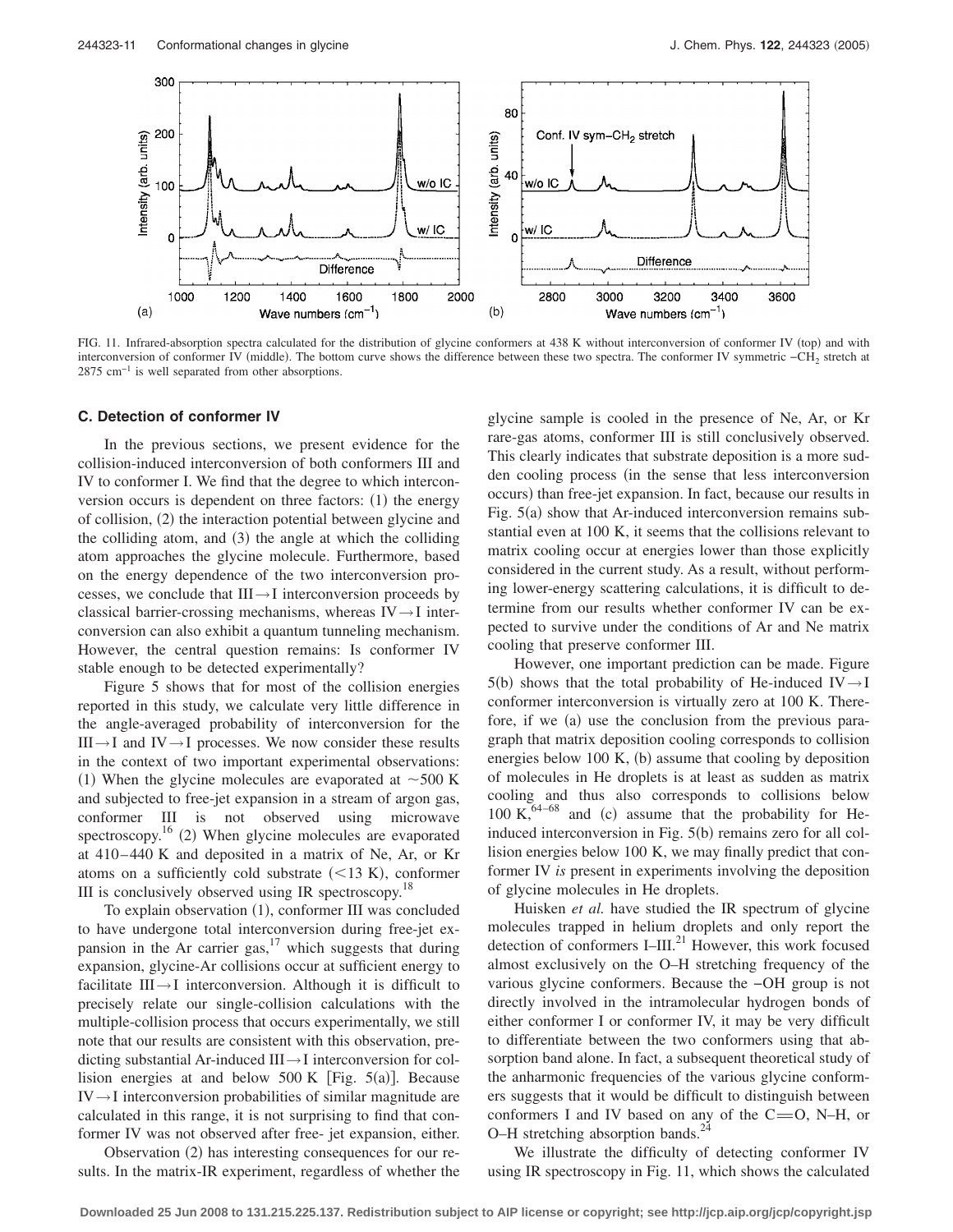

FIG. 11. Infrared-absorption spectra calculated for the distribution of glycine conformers at 438 K without interconversion of conformer IV (top) and with interconversion of conformer IV (middle). The bottom curve shows the difference between these two spectra. The conformer IV symmetric −CH<sub>2</sub> stretch at 2875 cm<sup>-1</sup> is well separated from other absorptions.

# **C. Detection of conformer IV**

In the previous sections, we present evidence for the collision-induced interconversion of both conformers III and IV to conformer I. We find that the degree to which interconversion occurs is dependent on three factors: (1) the energy of collision, (2) the interaction potential between glycine and the colliding atom, and (3) the angle at which the colliding atom approaches the glycine molecule. Furthermore, based on the energy dependence of the two interconversion processes, we conclude that  $III \rightarrow I$  interconversion proceeds by classical barrier-crossing mechanisms, whereas  $IV \rightarrow I$  interconversion can also exhibit a quantum tunneling mechanism. However, the central question remains: Is conformer IV stable enough to be detected experimentally?

Figure 5 shows that for most of the collision energies reported in this study, we calculate very little difference in the angle-averaged probability of interconversion for the III $\rightarrow$ I and IV $\rightarrow$ I processes. We now consider these results in the context of two important experimental observations: (1) When the glycine molecules are evaporated at  $\sim$  500 K and subjected to free-jet expansion in a stream of argon gas, conformer III is not observed using microwave spectroscopy.<sup>16</sup> (2) When glycine molecules are evaporated at 410–440 K and deposited in a matrix of Ne, Ar, or Kr atoms on a sufficiently cold substrate  $(<13 K$ ), conformer III is conclusively observed using IR spectroscopy.18

To explain observation (1), conformer III was concluded to have undergone total interconversion during free-jet expansion in the Ar carrier gas,<sup>17</sup> which suggests that during expansion, glycine-Ar collisions occur at sufficient energy to facilitate  $III \rightarrow I$  interconversion. Although it is difficult to precisely relate our single-collision calculations with the multiple-collision process that occurs experimentally, we still note that our results are consistent with this observation, predicting substantial Ar-induced III→I interconversion for collision energies at and below  $500 \text{ K}$  [Fig.  $5(a)$ ]. Because  $IV \rightarrow I$  interconversion probabilities of similar magnitude are calculated in this range, it is not surprising to find that conformer IV was not observed after free- jet expansion, either.

Observation (2) has interesting consequences for our results. In the matrix-IR experiment, regardless of whether the glycine sample is cooled in the presence of Ne, Ar, or Kr rare-gas atoms, conformer III is still conclusively observed. This clearly indicates that substrate deposition is a more sudden cooling process (in the sense that less interconversion occurs) than free-jet expansion. In fact, because our results in Fig. 5(a) show that Ar-induced interconversion remains substantial even at 100 K, it seems that the collisions relevant to matrix cooling occur at energies lower than those explicitly considered in the current study. As a result, without performing lower-energy scattering calculations, it is difficult to determine from our results whether conformer IV can be expected to survive under the conditions of Ar and Ne matrix cooling that preserve conformer III.

However, one important prediction can be made. Figure 5(b) shows that the total probability of He-induced IV $\rightarrow$ I conformer interconversion is virtually zero at 100 K. Therefore, if we (a) use the conclusion from the previous paragraph that matrix deposition cooling corresponds to collision energies below 100 K, (b) assume that cooling by deposition of molecules in He droplets is at least as sudden as matrix cooling and thus also corresponds to collisions below  $100 \text{ K}$ ,  $64-68$  and (c) assume that the probability for Heinduced interconversion in Fig. 5(b) remains zero for all collision energies below 100 K, we may finally predict that conformer IV *is* present in experiments involving the deposition of glycine molecules in He droplets.

Huisken *et al.* have studied the IR spectrum of glycine molecules trapped in helium droplets and only report the detection of conformers I–III.<sup>21</sup> However, this work focused almost exclusively on the O–H stretching frequency of the various glycine conformers. Because the −OH group is not directly involved in the intramolecular hydrogen bonds of either conformer I or conformer IV, it may be very difficult to differentiate between the two conformers using that absorption band alone. In fact, a subsequent theoretical study of the anharmonic frequencies of the various glycine conformers suggests that it would be difficult to distinguish between conformers I and IV based on any of the  $C=O$ , N–H, or O–H stretching absorption bands. $^{24}$ 

We illustrate the difficulty of detecting conformer IV using IR spectroscopy in Fig. 11, which shows the calculated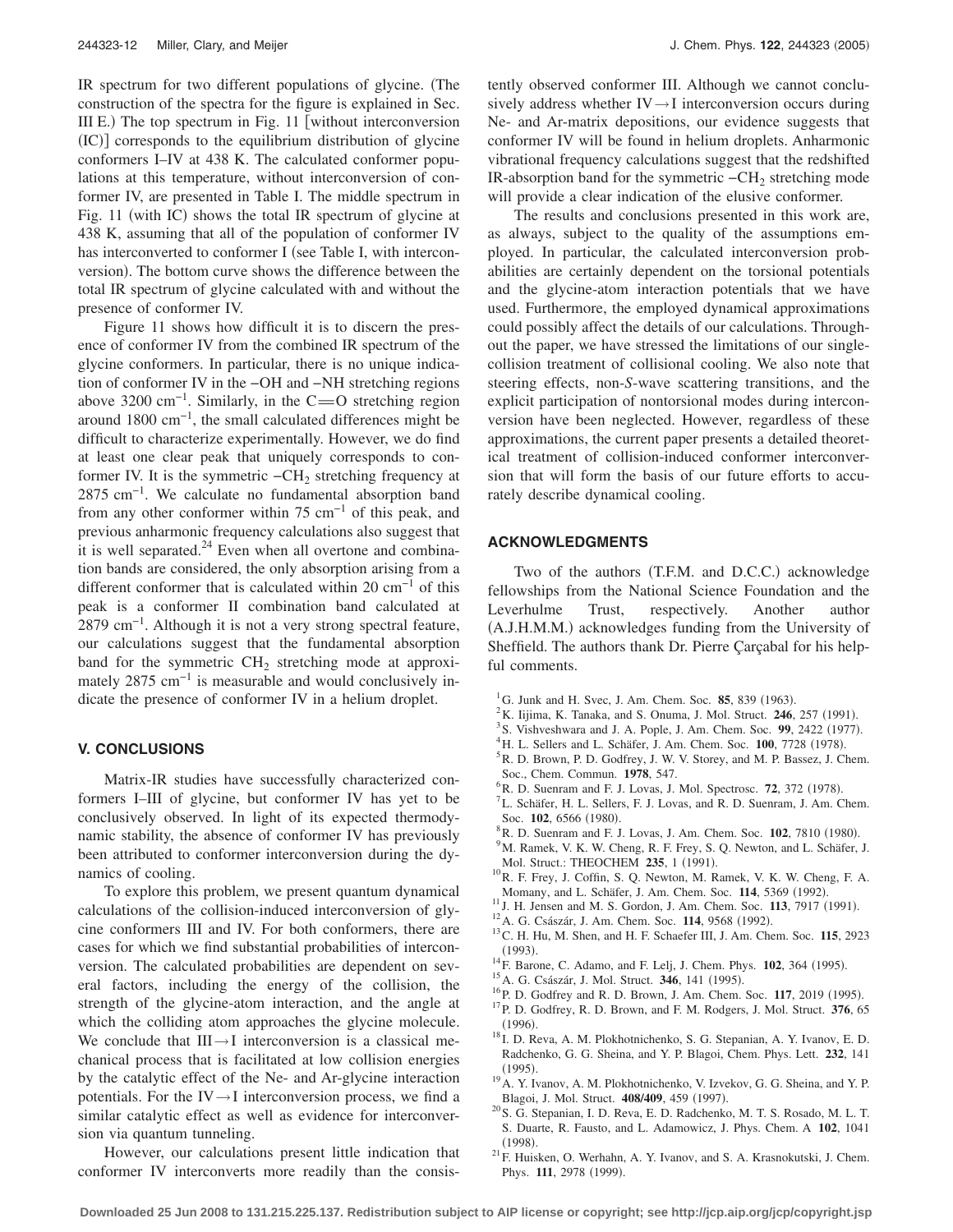IR spectrum for two different populations of glycine. The construction of the spectra for the figure is explained in Sec. III E.) The top spectrum in Fig. 11 [without interconversion (IC)] corresponds to the equilibrium distribution of glycine conformers I–IV at 438 K. The calculated conformer populations at this temperature, without interconversion of conformer IV, are presented in Table I. The middle spectrum in Fig. 11 (with IC) shows the total IR spectrum of glycine at 438 K, assuming that all of the population of conformer IV has interconverted to conformer I (see Table I, with interconversion). The bottom curve shows the difference between the total IR spectrum of glycine calculated with and without the presence of conformer IV.

Figure 11 shows how difficult it is to discern the presence of conformer IV from the combined IR spectrum of the glycine conformers. In particular, there is no unique indication of conformer IV in the −OH and −NH stretching regions above 3200 cm<sup>-1</sup>. Similarly, in the C= $O$  stretching region around 1800 cm−1, the small calculated differences might be difficult to characterize experimentally. However, we do find at least one clear peak that uniquely corresponds to conformer IV. It is the symmetric  $-CH<sub>2</sub>$  stretching frequency at 2875 cm−1. We calculate no fundamental absorption band from any other conformer within 75 cm−1 of this peak, and previous anharmonic frequency calculations also suggest that it is well separated. $^{24}$  Even when all overtone and combination bands are considered, the only absorption arising from a different conformer that is calculated within 20 cm−1 of this peak is a conformer II combination band calculated at 2879 cm<sup>-1</sup>. Although it is not a very strong spectral feature, our calculations suggest that the fundamental absorption band for the symmetric  $CH<sub>2</sub>$  stretching mode at approximately 2875 cm<sup>-1</sup> is measurable and would conclusively indicate the presence of conformer IV in a helium droplet.

# **V. CONCLUSIONS**

Matrix-IR studies have successfully characterized conformers I–III of glycine, but conformer IV has yet to be conclusively observed. In light of its expected thermodynamic stability, the absence of conformer IV has previously been attributed to conformer interconversion during the dynamics of cooling.

To explore this problem, we present quantum dynamical calculations of the collision-induced interconversion of glycine conformers III and IV. For both conformers, there are cases for which we find substantial probabilities of interconversion. The calculated probabilities are dependent on several factors, including the energy of the collision, the strength of the glycine-atom interaction, and the angle at which the colliding atom approaches the glycine molecule. We conclude that  $III \rightarrow I$  interconversion is a classical mechanical process that is facilitated at low collision energies by the catalytic effect of the Ne- and Ar-glycine interaction potentials. For the  $IV \rightarrow I$  interconversion process, we find a similar catalytic effect as well as evidence for interconversion via quantum tunneling.

However, our calculations present little indication that conformer IV interconverts more readily than the consistently observed conformer III. Although we cannot conclusively address whether IV→I interconversion occurs during Ne- and Ar-matrix depositions, our evidence suggests that conformer IV will be found in helium droplets. Anharmonic vibrational frequency calculations suggest that the redshifted IR-absorption band for the symmetric  $-CH<sub>2</sub>$  stretching mode will provide a clear indication of the elusive conformer.

The results and conclusions presented in this work are, as always, subject to the quality of the assumptions employed. In particular, the calculated interconversion probabilities are certainly dependent on the torsional potentials and the glycine-atom interaction potentials that we have used. Furthermore, the employed dynamical approximations could possibly affect the details of our calculations. Throughout the paper, we have stressed the limitations of our singlecollision treatment of collisional cooling. We also note that steering effects, non-*S*-wave scattering transitions, and the explicit participation of nontorsional modes during interconversion have been neglected. However, regardless of these approximations, the current paper presents a detailed theoretical treatment of collision-induced conformer interconversion that will form the basis of our future efforts to accurately describe dynamical cooling.

### **ACKNOWLEDGMENTS**

Two of the authors (T.F.M. and D.C.C.) acknowledge fellowships from the National Science Foundation and the Leverhulme Trust, respectively. Another author (A.J.H.M.M.) acknowledges funding from the University of Sheffield. The authors thank Dr. Pierre Çarçabal for his helpful comments.

- <sup>1</sup>G. Junk and H. Svec, J. Am. Chem. Soc. **85**, 839 (1963).
- <sup>2</sup>K. Iijima, K. Tanaka, and S. Onuma, J. Mol. Struct. **246**, 257 (1991).
- <sup>3</sup> S. Vishveshwara and J. A. Pople, J. Am. Chem. Soc. **99**, 2422 (1977).
- <sup>4</sup>H. L. Sellers and L. Schäfer, J. Am. Chem. Soc. **100**, 7728 (1978).<br><sup>5</sup> B. D. Brown, B. D. Godfrow, J. W. V. Storoy, and M. B. Bossoz, J. Cl
- <sup>5</sup> R. D. Brown, P. D. Godfrey, J. W. V. Storey, and M. P. Bassez, J. Chem. Soc., Chem. Commun. **1978**, 547.
- <sup>6</sup> R. D. Suenram and F. J. Lovas, J. Mol. Spectrosc. **72**, 372 (1978).
- ${}^{7}$ L. Schäfer, H. L. Sellers, F. J. Lovas, and R. D. Suenram, J. Am. Chem. Soc. **102**, 6566 (1980).
- $R^8$ R. D. Suenram and F. J. Lovas, J. Am. Chem. Soc. **102**, 7810 (1980).
- $^{9}$ M. Ramek, V. K. W. Cheng, R. F. Frey, S. Q. Newton, and L. Schäfer, J. Mol. Struct.: THEOCHEM 235, 1 (1991).
- $^{10}$ R. F. Frey, J. Coffin, S. Q. Newton, M. Ramek, V. K. W. Cheng, F. A. Momany, and L. Schäfer, J. Am. Chem. Soc. 114, 5369 (1992). Momany, and L. Schäfer, J. Am. Chem. Soc. **114**, 5369 (1992).<br><sup>11</sup> J. H. Jensen and M. S. Gordon, J. Am. Chem. Soc. **113**, 7917 (1991)
- <sup>11</sup> J. H. Jensen and M. S. Gordon, J. Am. Chem. Soc. 113, 7917 (1991).<br><sup>12</sup> A. G. Császár, J. Am. Chem. Soc. 114, 9568 (1992).
- 
- <sup>12</sup> A. G. Császár, J. Am. Chem. Soc. **114**, 9568 (1992).<br><sup>13</sup> C. H. Hu, M. Shen, and H. F. Schaefer III, J. Am. Chem. Soc. **115**, 2923  $(1993).$ . 14F. Barone, C. Adamo, and F. Lelj, J. Chem. Phys. **<sup>102</sup>**, 364 1995-
- <sup>14</sup> F. Barone, C. Adamo, and F. Lelj, J. Chem. Phys. **102**, 364 (1995).<br><sup>15</sup> A. G. Császár, J. Mol. Struct. **346**, 141 (1995).
- 
- <sup>15</sup> A. G. Császár, J. Mol. Struct. **346**, 141 (1995).<br><sup>16</sup> P. D. Godfrey and R. D. Brown, J. Am. Chem. Soc. **117**, 2019 (1995).
- <sup>17</sup>P. D. Godfrey, R. D. Brown, and F. M. Rodgers, J. Mol. Struct. **376**, 65  $(1996)$ .
- $^{18}$ I. D. Reva, A. M. Plokhotnichenko, S. G. Stepanian, A. Y. Ivanov, E. D. Radchenko, G. G. Sheina, and Y. P. Blagoi, Chem. Phys. Lett. **232**, 141  $(1995).$
- $^{19}$  A. Y. Ivanov, A. M. Plokhotnichenko, V. Izvekov, G. G. Sheina, and Y. P. Blagoi, J. Mol. Struct. **408/409**, 459 (1997).
- $^{20}$  S. G. Stepanian, I. D. Reva, E. D. Radchenko, M. T. S. Rosado, M. L. T. S. Duarte, R. Fausto, and L. Adamowicz, J. Phys. Chem. A **102**, 1041  $(1998)$
- $21$ F. Huisken, O. Werhahn, A. Y. Ivanov, and S. A. Krasnokutski, J. Chem. Phys. 111, 2978 (1999).